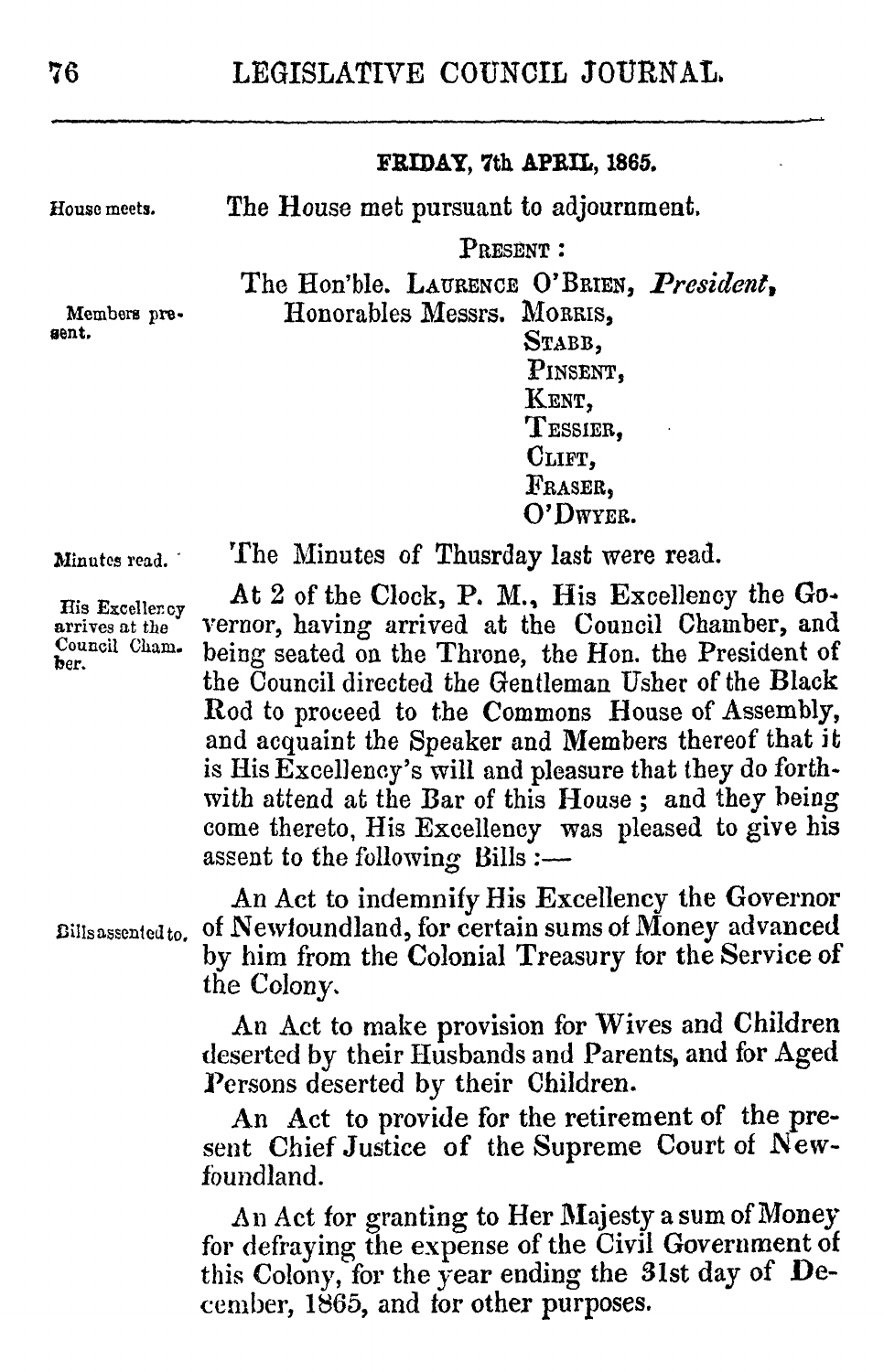#### **FRIDAY, 7th APRIL, 1865.**

The House met pursuant to adjournment.

PRESENT **:**

The Hon'ble. LAURENCE O'BRIEN, *President,*

Honorables Messrs. MORRIS,

STABB. **PINsENT,** KENT, TEssIER, CLIFT, FRASER. **O'DWYER.**

Minutes read. -

The Minutes of Thusrday last were read.

His Exceller.ov arrives at the Council Cham. ber.

At 2 of the Clock, P. M., His Excellency the **Go.** vernor, having arrived at the Council Chamber, and being seated on the Throne, the Hon. the President of the Council directed the Gentleman Usher of the Black Rod to proceed to the Commons House of Assembly, and acquaint the Speaker and Members thereof that it is His Excellency's will and pleasure that they do forthwith attend at the Bar of this House **;** and they being come thereto, His Excellency was pleased to give his assent to the following Bills :-

Bills assented to.

An Act to indemnify His Excellency the Governor of Newloundland, for certain sums of Money advanced **by** him from the Colonial Treasury for the Service of the Colony,

An Act to make provision for Wives and Children deserted by their Husbands and Parents, and for Aged *Persons* deserted **by** their Children.

An Act to provide for the retirement of the present Chief Justice of the Supreme Court of Newfoundland.

An Act for granting to Her Majesty a sum of Money for defraying the expense of the Civil Government of this Colony, for the year ending the 3lst day of Deceniber, **1865,** and for other purposes.

gent.

**Rouse** meets.

Members pre-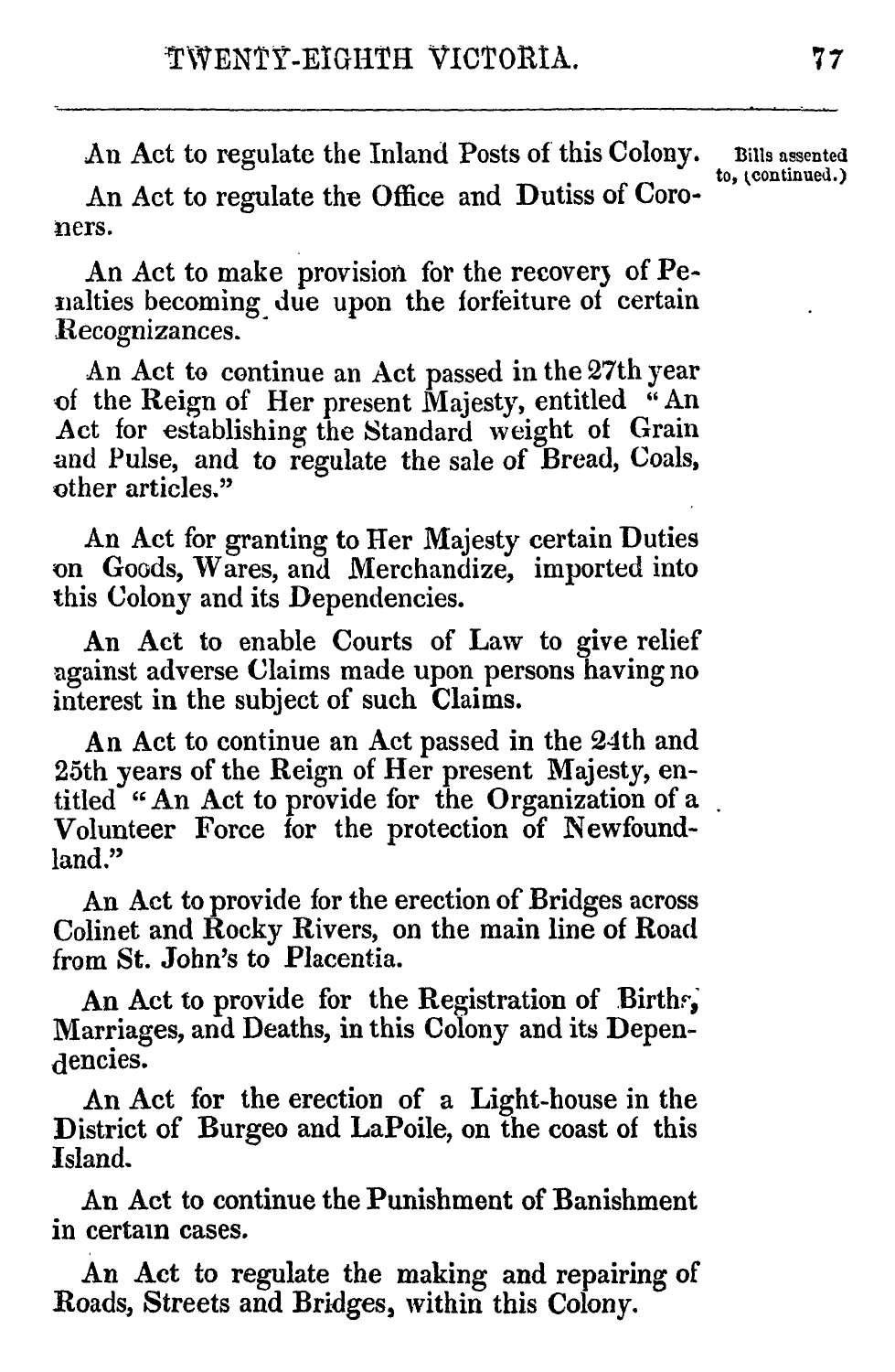An Act to regulate the Inland Posts of this Colony. Bills assented.)

An Act to regulate the Office and Dutiss of Coroners.

An Act to make provision for the recovery of Penalties becoming due upon the forfeiture of certain Recognizances.

An Act to continue an Act passed in the 27th year of the Reign of Her present Majesty, entitled "An Act for establishing the Standard weight of Grain and Pulse, and to regulate the sale of Bread, Coals, other articles."

An Act for granting to Her Majesty certain Duties on Goods, Wares, and Merchandize, imported into this Colony and its Dependencies.

An Act to enable Courts of Law to give relief against adverse Claims made upon persons havingno interest in the subject of such Claims.

An Act to continue an Act passed in the 24th and 25th years of the Reign of Her present Majesty, entitled " An Act to provide for the Organization of a Volunteer Force for the protection of Newfoundland."

An Act to provide for the erection of Bridges across Colinet and Rocky Rivers, on the main line of Road from St. John's to Placentia.

An Act to provide for the Registration of Birthr, Marriages, and Deaths, in this Colony and its Dependencies.

An Act for the erection of a Light-house in the District of Burgeo and LaPoile, on the coast of this Island.

An Act to continue the Punishment of Banishment in certain cases.

An Act to regulate the making and repairing of Roads, Streets and Bridges, within this Colony.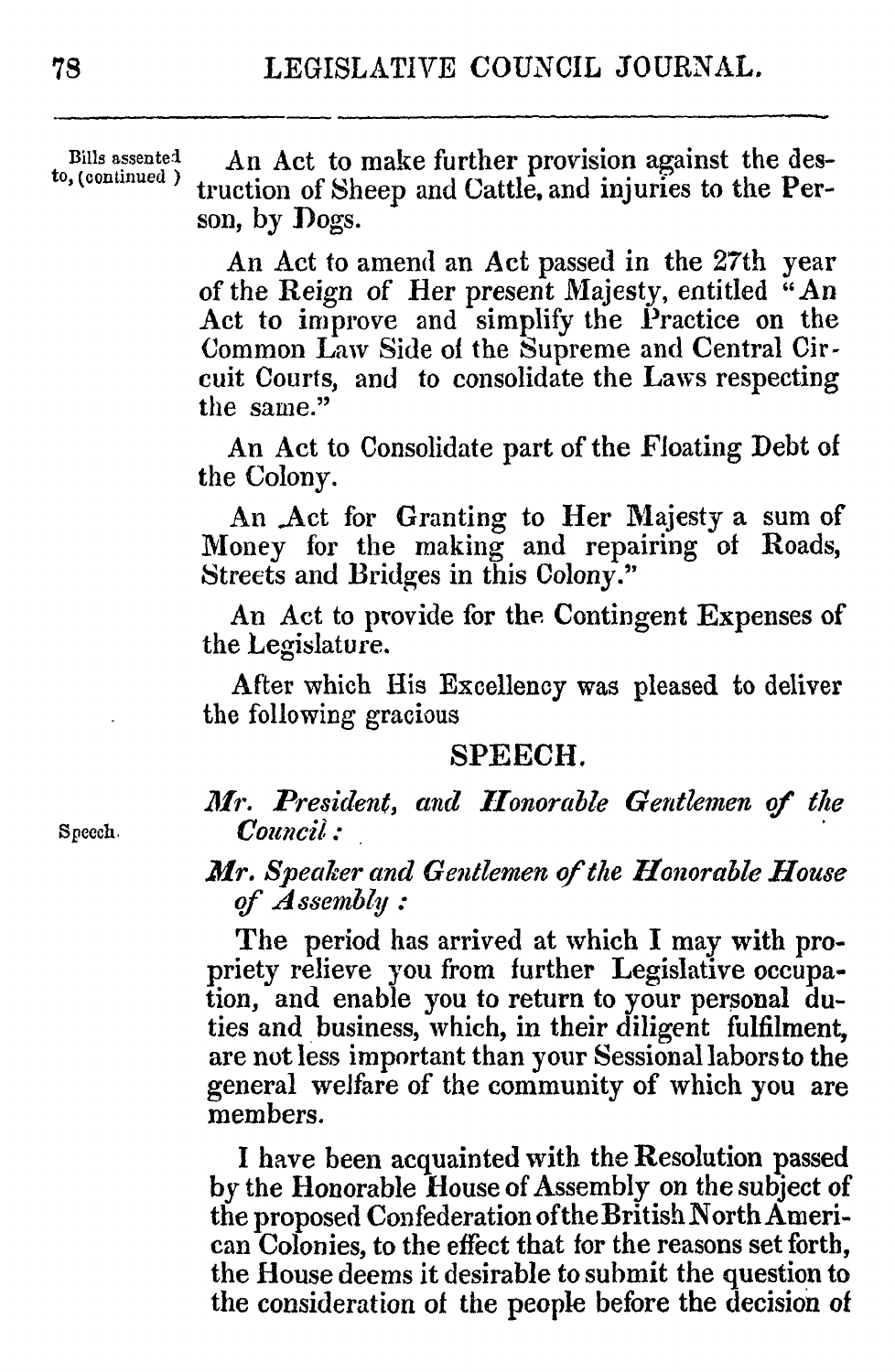Bills assented An Act to make further provision against the destruction of Sheep and Cattle, and injuries to the Person, **by** *Dogs.*

> An Act to amend an Act passed in the 27th year of the Reign of ler *present* Majesty, entitled **"An** Act to improve and simplify the Practice on the Common Law Side of the Supreme and Central Circuit Courts, and to consolidate the Laws respecting the same."

> An Act to Consolidate part of the Floating Debt of the Colony.

> An .Act for Granting to Her Majesty a sum of Money for the making and repairing of Roads, Streets and Bridges in this Colony."

> An Act to provide for the. Contingent Expenses of the Legislature.

> After which His Excellency was pleased to deliver the following gracious

### **SPEECH.**

*1r. President, and Honorable Gentlemen of the* Speech. **Council**:

> *Mr. Speaker and Gentlemen of the Honorable House of Assembly :*

> The period has arrived at which I may with propriety relieve you from further Legislative occupation, and enable you to return to your personal duties and business, which, in their diligent fulfilment, are not less important than your Sessional laborsto the general welfare of the community of which you are members.

> I have been acquainted with the Resolution passed by the Honorable House of Assembly on the subject of the proposed Confederation oftheBritish North American Colonies, to the effect that for the reasons set forth, the House deems it desirable to submit the question to the consideration of the people before the decision **of**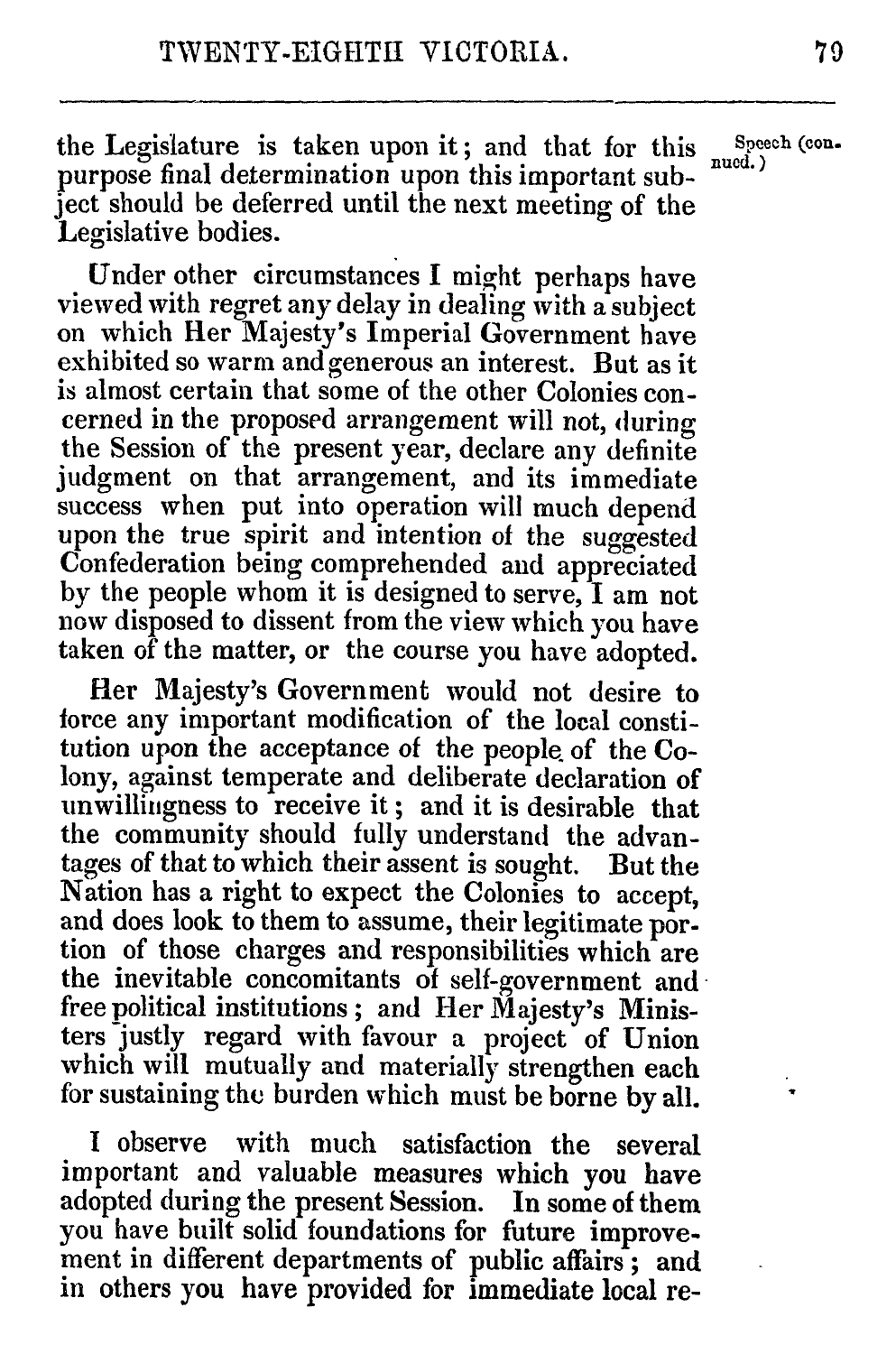the Legislature is taken upon it; and that for this  $\frac{\text{Spec} \, \text{Spec} \, \text{(con-} \, \text{Spec} \, \text{Spec} \, \text{Spec} \, \text{Spec} \, \text{Spec} \, \text{Spec} \, \text{Spec} \, \text{Spec} \, \text{Spec} \, \text{Spec} \, \text{Spec} \, \text{Spec} \, \text{Spec} \, \text{Spec} \, \text{Spec} \, \text{Spec} \, \text{Spec} \, \text{Spec} \, \text{Spec} \, \text{Spec} \, \text{Spec$ purpose final determination upon this important subject should be deferred until the next meeting of the Legislative bodies.

Under other circumstances I might perhaps have viewed with regret any delay in dealing with a subject on which Her Majesty's Imperial Government have exhibited so warm and generous an interest. But as it is almost certain that some of the other Colonies con-<br>cerned in the proposed arrangement will not, during the Session of the present year, declare any definite judgment on that arrangement, and its immediate success when put into operation will much depend<br>upon the true spirit and intention of the suggested Confederation being comprehended and appreciated by the people whom it is designed to serve, I am not now disposed to dissent from the view which you have taken of the matter, or the course you have adopted.

Her Majesty's Government would not desire to force any important modification of the local constitution upon the acceptance of the people. of the Colony, against temperate and deliberate declaration of unwilliigness to receive it **;** and it is desirable that the community should fully understand the advantages of that to which their assent is sought. But the Nation has a right to expect the Colonies to accept, and does look to them to assume, their legitimate por-<br>tion of those charges and responsibilities which are the inevitable concomitants of self-government and free political institutions; and Her Majesty's Ministers justly regard with favour a project of Union which will mutually and materially strengthen each for sustaining the burden which must be borne **by** all.

I observe with much satisfaction the several important and valuable measures which you have adopted during the present Session. In some of them you have built solid foundations for future improvement in different departments of public affairs **;** and in others you have provided for immediate local re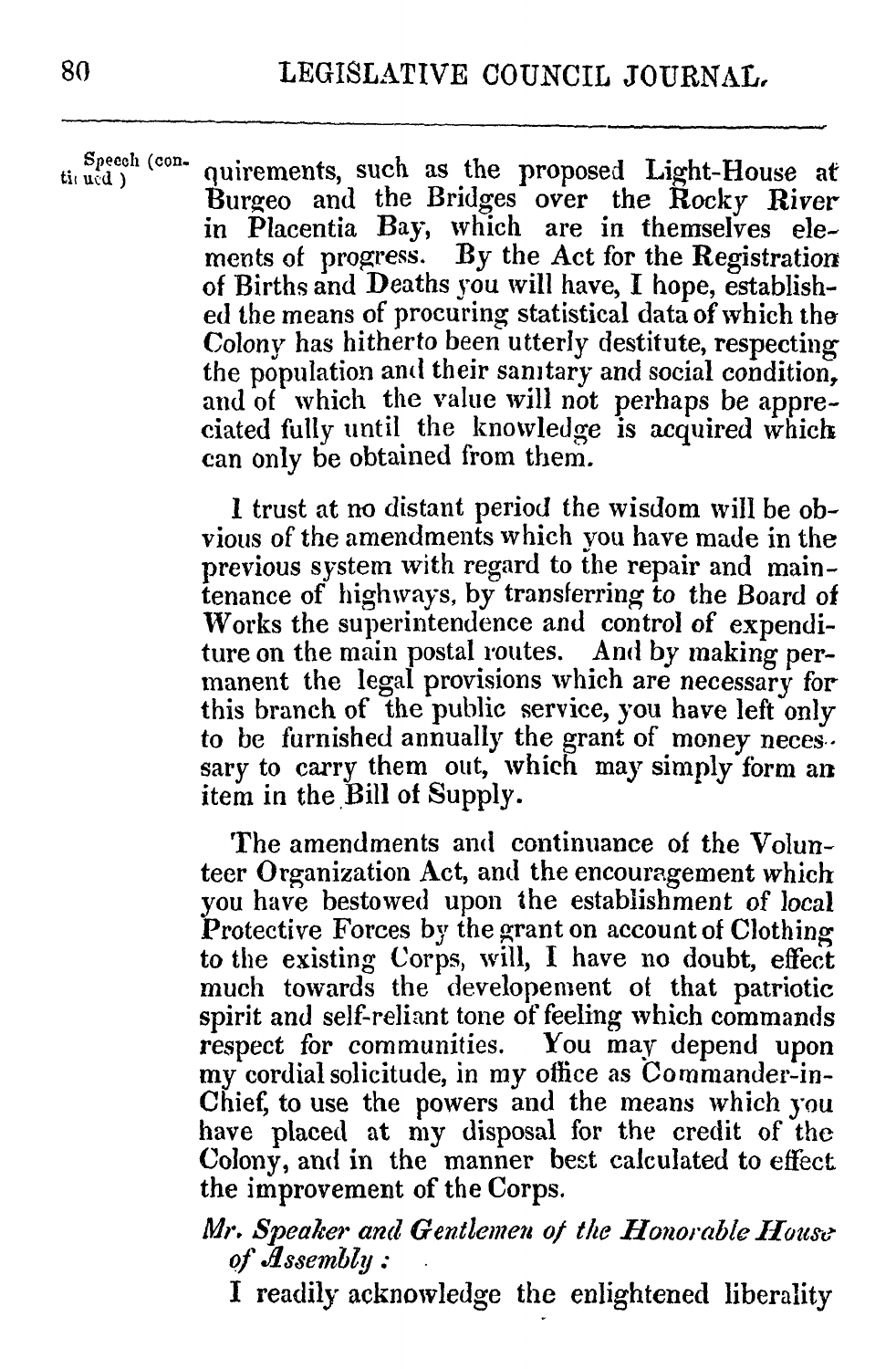$S_{\text{pred}}^{Specch}$  (con-quirements, such as the proposed Light-House at Burgeo and the Bridges over the Rocky River in Placentia Bay, which are in themselves elements of progress. **By** the Act for the Registration of Births and Deaths you will have, I hope, established the means of procuring statistical data of which the *Colony* has hitherto been utterly destitute, respecting the population and their sanitary and social condition, and of which the value will not perhaps be appreciated fully until the knowledge is acquired which can only be obtained from them.

> I trust at no distant period the wisdom will be obvious of the arendments which you have made in the previous system with regard to the repair and maintenance of highivays, **by** transferring to the Board of Works the superintendence and control of expenditure on the main postal routes. And **by** making permanent the legal provisions which are necessary for this branch of the public service, you have left only to be furnished annually the grant of money neces. sary to carry them out, which may simply form an item in the Bill of Supply.

> The amendments and continuance of the Volunteer Organization Act, and the encouragement which you have bestowed upon the establishment of local Protective Forces **by** the grant on account of Clothing to the existing Corps, will, I have no doubt, effect much towards the developement ot that patriotic spirit and self-reliant tone of feeling which commands respect for communities. You may depend upon my cordial solicitude, in my office as Commander-in-Chief, to use the powers and the means which you have placed at my disposal for the credit of the Colony, and in the manner best calculated to effect the improvement of the Corps.

# *Mr. Speaker and Gentlemen of the Honorable Houe of Jssembly :*

I readily acknowledge the enlightened liberality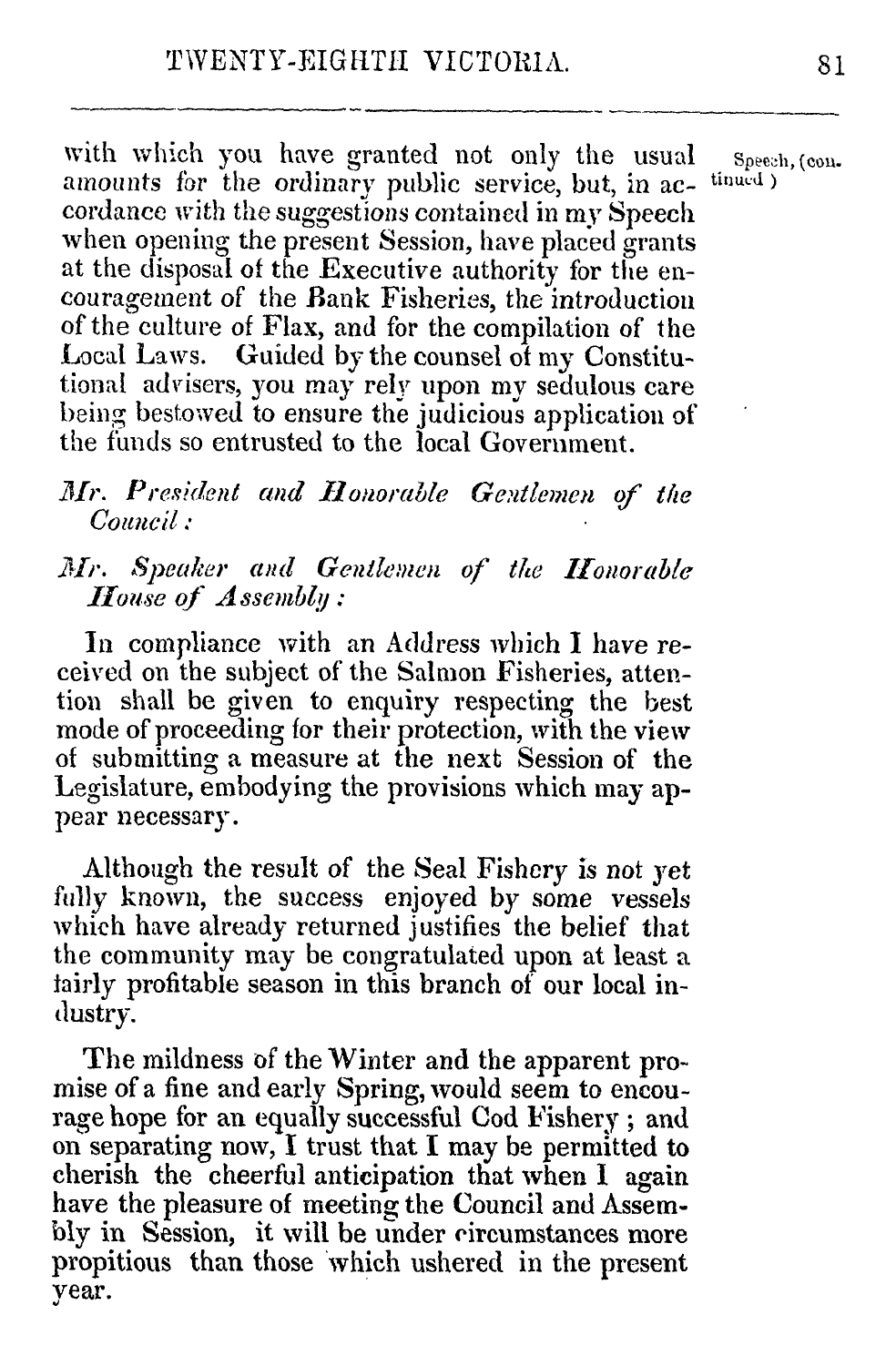with which you have granted not only the usual speech, (con. amounts for the ordinary public service, but, in ac- tinued) cordance with the suggestions containcd in my Speech when opening the present Session, have placed grants at the disposal of the Executive authority for the encouragement of the Bank Fisheries, the introduction of the culture of Flax, and for the compilation of the Local Laws. Guided **by** the counsel of my Constitutional advisers, you **may** rely upon my sedulous care being bestowed to ensure the judicious application **of** the funds so entrusted to the local Goverinment.

# *Mr. President and Honorable Gentlemen of the Coiuncil :*

# *1r. Speaker and Gentlemen of thte Honorable House of A ssemby :*

In compliance with an Address which I have received on the subject of the Saluon Fisheries, attention shall be given to enquiry respecting the best mode of proceeding for their protection, *with* the view of submitting a measure at the next Session of the Legislature, enbodying the provisions which may appear necessary.

Although the result of the Seal Fishery is not yet fully known, the success enjoyed **by** some vessels which have already returned justifies the belief that the conmunity may be congratulated upon at least a lairly profitable season in this branch of our local industry.

The mildness **of** the Winter and the apparent promise of a fine and early Spring, would seem to encourage hope for an equally successful Cod Fishery **;** and on separating now, I trust that I may be permitted to cherish the cheerful anticipation that when I again have the pleasure of meeting the Council and Assem**bly in** Session, it will be under circumstances more propitious than those which ushered in the present year.